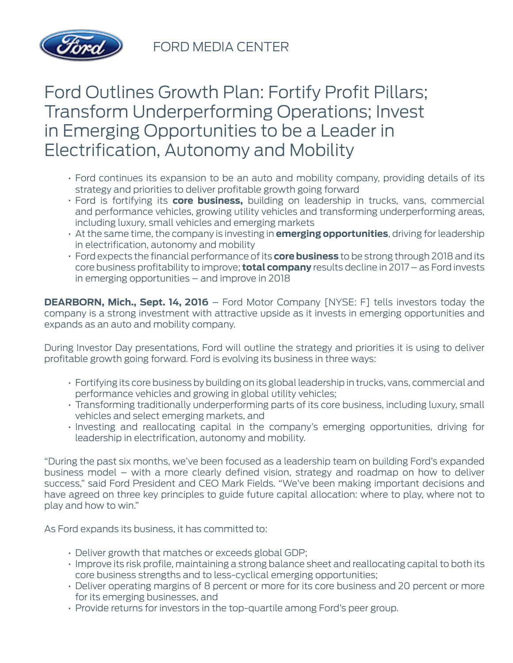

# Ford Outlines Growth Plan: Fortify Profit Pillars; Transform Underperforming Operations; Invest in Emerging Opportunities to be a Leader in Electrification, Autonomy and Mobility

- Ford continues its expansion to be an auto and mobility company, providing details of its strategy and priorities to deliver profitable growth going forward
- Ford is fortifying its **core business,** building on leadership in trucks, vans, commercial and performance vehicles, growing utility vehicles and transforming underperforming areas, including luxury, small vehicles and emerging markets
- At the same time, the company is investing in **emerging opportunities**, driving for leadership in electrification, autonomy and mobility
- Ford expects the financial performance of its **core business** to be strong through 2018 and its core business profitability to improve; **total company** results decline in 2017 – as Ford invests in emerging opportunities – and improve in 2018

**DEARBORN, Mich., Sept. 14, 2016** – Ford Motor Company [NYSE: F] tells investors today the company is a strong investment with attractive upside as it invests in emerging opportunities and expands as an auto and mobility company.

During Investor Day presentations, Ford will outline the strategy and priorities it is using to deliver profitable growth going forward. Ford is evolving its business in three ways:

- Fortifying its core business by building on its global leadership in trucks, vans, commercial and performance vehicles and growing in global utility vehicles;
- Transforming traditionally underperforming parts of its core business, including luxury, small vehicles and select emerging markets, and
- Investing and reallocating capital in the company's emerging opportunities, driving for leadership in electrification, autonomy and mobility.

"During the past six months, we've been focused as a leadership team on building Ford's expanded business model – with a more clearly defined vision, strategy and roadmap on how to deliver success," said Ford President and CEO Mark Fields. "We've been making important decisions and have agreed on three key principles to guide future capital allocation: where to play, where not to play and how to win."

As Ford expands its business, it has committed to:

- Deliver growth that matches or exceeds global GDP;
- Improve its risk profile, maintaining a strong balance sheet and reallocating capital to both its core business strengths and to less-cyclical emerging opportunities;
- Deliver operating margins of 8 percent or more for its core business and 20 percent or more for its emerging businesses, and
- Provide returns for investors in the top-quartile among Ford's peer group.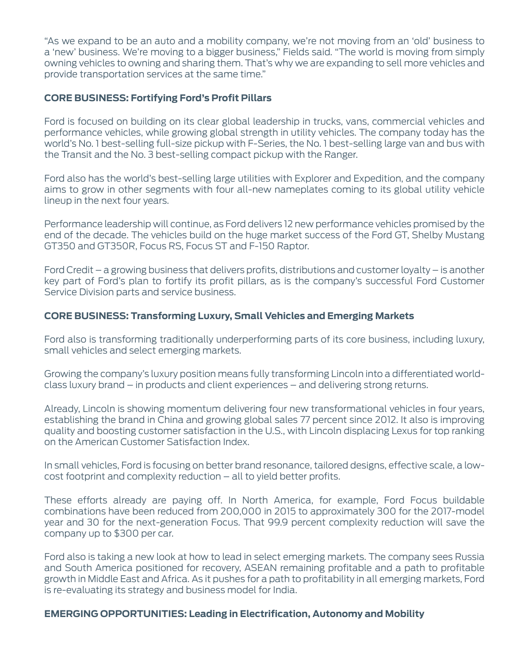"As we expand to be an auto and a mobility company, we're not moving from an 'old' business to a 'new' business. We're moving to a bigger business," Fields said. "The world is moving from simply owning vehicles to owning and sharing them. That's why we are expanding to sell more vehicles and provide transportation services at the same time."

# **CORE BUSINESS: Fortifying Ford's Profit Pillars**

Ford is focused on building on its clear global leadership in trucks, vans, commercial vehicles and performance vehicles, while growing global strength in utility vehicles. The company today has the world's No. 1 best-selling full-size pickup with F-Series, the No. 1 best-selling large van and bus with the Transit and the No. 3 best-selling compact pickup with the Ranger.

Ford also has the world's best-selling large utilities with Explorer and Expedition, and the company aims to grow in other segments with four all-new nameplates coming to its global utility vehicle lineup in the next four years.

Performance leadership will continue, as Ford delivers 12 new performance vehicles promised by the end of the decade. The vehicles build on the huge market success of the Ford GT, Shelby Mustang GT350 and GT350R, Focus RS, Focus ST and F-150 Raptor.

Ford Credit – a growing business that delivers profits, distributions and customer loyalty – is another key part of Ford's plan to fortify its profit pillars, as is the company's successful Ford Customer Service Division parts and service business.

#### **CORE BUSINESS: Transforming Luxury, Small Vehicles and Emerging Markets**

Ford also is transforming traditionally underperforming parts of its core business, including luxury, small vehicles and select emerging markets.

Growing the company's luxury position means fully transforming Lincoln into a differentiated worldclass luxury brand – in products and client experiences – and delivering strong returns.

Already, Lincoln is showing momentum delivering four new transformational vehicles in four years, establishing the brand in China and growing global sales 77 percent since 2012. It also is improving quality and boosting customer satisfaction in the U.S., with Lincoln displacing Lexus for top ranking on the American Customer Satisfaction Index.

In small vehicles, Ford is focusing on better brand resonance, tailored designs, effective scale, a lowcost footprint and complexity reduction – all to yield better profits.

These efforts already are paying off. In North America, for example, Ford Focus buildable combinations have been reduced from 200,000 in 2015 to approximately 300 for the 2017-model year and 30 for the next-generation Focus. That 99.9 percent complexity reduction will save the company up to \$300 per car.

Ford also is taking a new look at how to lead in select emerging markets. The company sees Russia and South America positioned for recovery, ASEAN remaining profitable and a path to profitable growth in Middle East and Africa. As it pushes for a path to profitability in all emerging markets, Ford is re-evaluating its strategy and business model for India.

#### **EMERGING OPPORTUNITIES: Leading in Electrification, Autonomy and Mobility**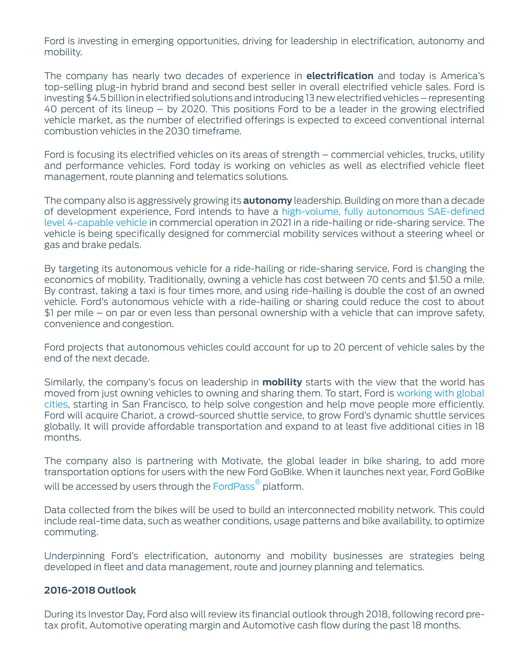Ford is investing in emerging opportunities, driving for leadership in electrification, autonomy and mobility.

The company has nearly two decades of experience in **electrification** and today is America's top-selling plug-in hybrid brand and second best seller in overall electrified vehicle sales. Ford is investing \$4.5 billion in electrified solutions and introducing 13 new electrified vehicles – representing 40 percent of its lineup – by 2020. This positions Ford to be a leader in the growing electrified vehicle market, as the number of electrified offerings is expected to exceed conventional internal combustion vehicles in the 2030 timeframe.

Ford is focusing its electrified vehicles on its areas of strength – commercial vehicles, trucks, utility and performance vehicles. Ford today is working on vehicles as well as electrified vehicle fleet management, route planning and telematics solutions.

The company also is aggressively growing its **autonomy** leadership. Building on more than a decade of development experience, Ford intends to have a [high-volume, fully autonomous SAE-defined](https://media.ford.com/content/fordmedia/fna/us/en/news/2016/08/16/ford-targets-fully-autonomous-vehicle-for-ride-sharing-in-2021.html) [level 4-capable vehicle](https://media.ford.com/content/fordmedia/fna/us/en/news/2016/08/16/ford-targets-fully-autonomous-vehicle-for-ride-sharing-in-2021.html) in commercial operation in 2021 in a ride-hailing or ride-sharing service. The vehicle is being specifically designed for commercial mobility services without a steering wheel or gas and brake pedals.

By targeting its autonomous vehicle for a ride-hailing or ride-sharing service, Ford is changing the economics of mobility. Traditionally, owning a vehicle has cost between 70 cents and \$1.50 a mile. By contrast, taking a taxi is four times more, and using ride-hailing is double the cost of an owned vehicle. Ford's autonomous vehicle with a ride-hailing or sharing could reduce the cost to about \$1 per mile – on par or even less than personal ownership with a vehicle that can improve safety, convenience and congestion.

Ford projects that autonomous vehicles could account for up to 20 percent of vehicle sales by the end of the next decade.

Similarly, the company's focus on leadership in **mobility** starts with the view that the world has moved from just owning vehicles to owning and sharing them. To start, Ford is [working with global](https://media.ford.com/content/fordmedia/fna/us/en/news/2016/09/09/ford-partnering-with-global-cities-on-new-transportation--chario.html) [cities,](https://media.ford.com/content/fordmedia/fna/us/en/news/2016/09/09/ford-partnering-with-global-cities-on-new-transportation--chario.html) starting in San Francisco, to help solve congestion and help move people more efficiently. Ford will acquire Chariot, a crowd-sourced shuttle service, to grow Ford's dynamic shuttle services globally. It will provide affordable transportation and expand to at least five additional cities in 18 months.

The company also is partnering with Motivate, the global leader in bike sharing, to add more transportation options for users with the new Ford GoBike. When it launches next year, Ford GoBike will be accessed by users through the [FordPass](https://www.fordpass.com/)<sup>®</sup> platform.

Data collected from the bikes will be used to build an interconnected mobility network. This could include real-time data, such as weather conditions, usage patterns and bike availability, to optimize commuting.

Underpinning Ford's electrification, autonomy and mobility businesses are strategies being developed in fleet and data management, route and journey planning and telematics.

# **2016-2018 Outlook**

During its Investor Day, Ford also will review its financial outlook through 2018, following record pretax profit, Automotive operating margin and Automotive cash flow during the past 18 months.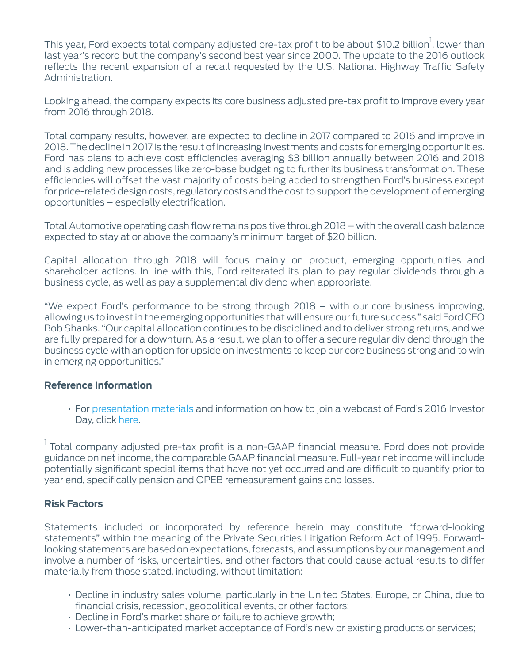This year, Ford expects total company adjusted pre-tax profit to be about \$10.2 billion $^{\rm l}$ , lower than last year's record but the company's second best year since 2000. The update to the 2016 outlook reflects the recent expansion of a recall requested by the U.S. National Highway Traffic Safety Administration.

Looking ahead, the company expects its core business adjusted pre-tax profit to improve every year from 2016 through 2018.

Total company results, however, are expected to decline in 2017 compared to 2016 and improve in 2018. The decline in 2017 is the result of increasing investments and costs for emerging opportunities. Ford has plans to achieve cost efficiencies averaging \$3 billion annually between 2016 and 2018 and is adding new processes like zero-base budgeting to further its business transformation. These efficiencies will offset the vast majority of costs being added to strengthen Ford's business except for price-related design costs, regulatory costs and the cost to support the development of emerging opportunities – especially electrification.

Total Automotive operating cash flow remains positive through 2018 – with the overall cash balance expected to stay at or above the company's minimum target of \$20 billion.

Capital allocation through 2018 will focus mainly on product, emerging opportunities and shareholder actions. In line with this, Ford reiterated its plan to pay regular dividends through a business cycle, as well as pay a supplemental dividend when appropriate.

"We expect Ford's performance to be strong through 2018 – with our core business improving, allowing us to invest in the emerging opportunities that will ensure our future success," said Ford CFO Bob Shanks. "Our capital allocation continues to be disciplined and to deliver strong returns, and we are fully prepared for a downturn. As a result, we plan to offer a secure regular dividend through the business cycle with an option for upside on investments to keep our core business strong and to win in emerging opportunities."

# **Reference Information**

• For [presentation materials](http://corporate.ford.com/content/dam/corporate/en/investors/investor-events/Press%20Releases/2016/september-2016-ford-investor-deck-for-web.pdf) and information on how to join a webcast of Ford's 2016 Investor Day, click [here](http://corporate.ford.com/investors/investor-events/event-details/ford-to-host-investor-day-on-sept--14.html).

<sup>1</sup> Total company adjusted pre-tax profit is a non-GAAP financial measure. Ford does not provide guidance on net income, the comparable GAAP financial measure. Full-year net income will include potentially significant special items that have not yet occurred and are difficult to quantify prior to year end, specifically pension and OPEB remeasurement gains and losses.

# **Risk Factors**

Statements included or incorporated by reference herein may constitute "forward-looking statements" within the meaning of the Private Securities Litigation Reform Act of 1995. Forwardlooking statements are based on expectations, forecasts, and assumptions by our management and involve a number of risks, uncertainties, and other factors that could cause actual results to differ materially from those stated, including, without limitation:

- Decline in industry sales volume, particularly in the United States, Europe, or China, due to financial crisis, recession, geopolitical events, or other factors;
- Decline in Ford's market share or failure to achieve growth;
- Lower-than-anticipated market acceptance of Ford's new or existing products or services;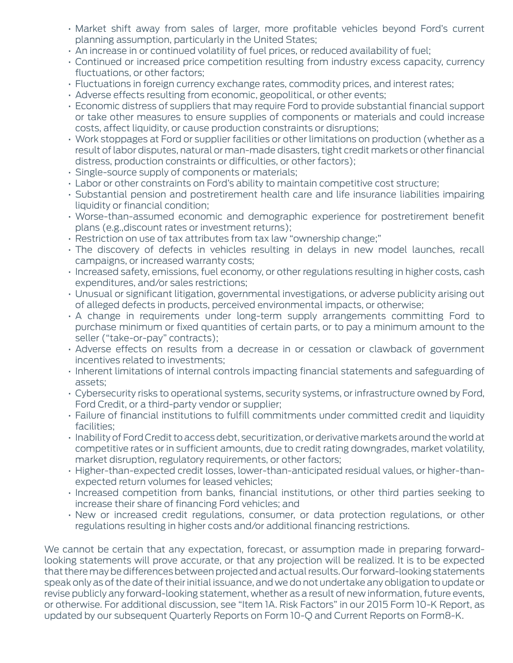- Market shift away from sales of larger, more profitable vehicles beyond Ford's current planning assumption, particularly in the United States;
- An increase in or continued volatility of fuel prices, or reduced availability of fuel;
- Continued or increased price competition resulting from industry excess capacity, currency fluctuations, or other factors;
- Fluctuations in foreign currency exchange rates, commodity prices, and interest rates;
- Adverse effects resulting from economic, geopolitical, or other events;
- Economic distress of suppliers that may require Ford to provide substantial financial support or take other measures to ensure supplies of components or materials and could increase costs, affect liquidity, or cause production constraints or disruptions;
- Work stoppages at Ford or supplier facilities or other limitations on production (whether as a result of labor disputes, natural or man-made disasters, tight credit markets or other financial distress, production constraints or difficulties, or other factors);
- Single-source supply of components or materials;
- Labor or other constraints on Ford's ability to maintain competitive cost structure;
- Substantial pension and postretirement health care and life insurance liabilities impairing liquidity or financial condition;
- Worse-than-assumed economic and demographic experience for postretirement benefit plans (e.g.,discount rates or investment returns);
- Restriction on use of tax attributes from tax law "ownership change;"
- The discovery of defects in vehicles resulting in delays in new model launches, recall campaigns, or increased warranty costs;
- Increased safety, emissions, fuel economy, or other regulations resulting in higher costs, cash expenditures, and/or sales restrictions;
- Unusual or significant litigation, governmental investigations, or adverse publicity arising out of alleged defects in products, perceived environmental impacts, or otherwise;
- A change in requirements under long-term supply arrangements committing Ford to purchase minimum or fixed quantities of certain parts, or to pay a minimum amount to the seller ("take-or-pay" contracts);
- Adverse effects on results from a decrease in or cessation or clawback of government incentives related to investments;
- Inherent limitations of internal controls impacting financial statements and safeguarding of assets;
- Cybersecurity risks to operational systems, security systems, or infrastructure owned by Ford, Ford Credit, or a third-party vendor or supplier;
- Failure of financial institutions to fulfill commitments under committed credit and liquidity facilities;
- Inability of Ford Credit to access debt, securitization, or derivative markets around the world at competitive rates or in sufficient amounts, due to credit rating downgrades, market volatility, market disruption, regulatory requirements, or other factors;
- Higher-than-expected credit losses, lower-than-anticipated residual values, or higher-thanexpected return volumes for leased vehicles;
- Increased competition from banks, financial institutions, or other third parties seeking to increase their share of financing Ford vehicles; and
- New or increased credit regulations, consumer, or data protection regulations, or other regulations resulting in higher costs and/or additional financing restrictions.

We cannot be certain that any expectation, forecast, or assumption made in preparing forwardlooking statements will prove accurate, or that any projection will be realized. It is to be expected that there may be differences between projected and actual results. Our forward-looking statements speak only as of the date of their initial issuance, and we do not undertake any obligation to update or revise publicly any forward-looking statement, whether as a result of new information, future events, or otherwise. For additional discussion, see "Item 1A. Risk Factors" in our 2015 Form 10-K Report, as updated by our subsequent Quarterly Reports on Form 10-Q and Current Reports on Form8-K.